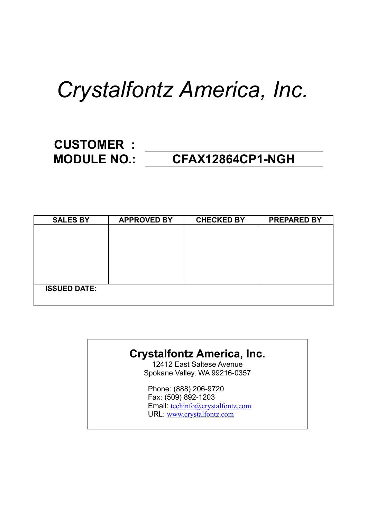# *Crystalfontz America, Inc.*

### **CUSTOMER : MODULE NO.: CFAX12864CP1-NGH**

| <b>SALES BY</b>     | <b>APPROVED BY</b> | <b>CHECKED BY</b> | <b>PREPARED BY</b> |
|---------------------|--------------------|-------------------|--------------------|
|                     |                    |                   |                    |
|                     |                    |                   |                    |
|                     |                    |                   |                    |
|                     |                    |                   |                    |
|                     |                    |                   |                    |
|                     |                    |                   |                    |
| <b>ISSUED DATE:</b> |                    |                   |                    |
|                     |                    |                   |                    |

#### **Crystalfontz America, Inc.**

12412 East Saltese Avenue Spokane Valley, WA 99216-0357

Phone: (888) 206-9720 Fax: (509) 892-1203 Email: techinfo@crystalfontz.com URL: www.crystalfontz.com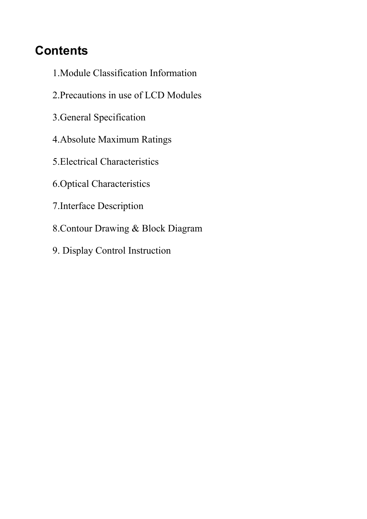# **Contents**

- 1.Module Classification Information
- 2.Precautions in use of LCD Modules
- 3.General Specification
- 4.Absolute Maximum Ratings
- 5.Electrical Characteristics
- 6.Optical Characteristics
- 7.Interface Description
- 8.Contour Drawing & Block Diagram
- 9. Display Control Instruction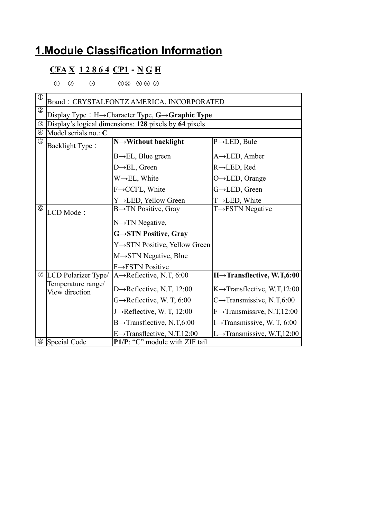#### **1.Module Classification Information**

#### **CFA X 1 2 8 6 4 CP1**-**N G H**

 $0$   $0$   $3$   $40$   $90$   $0$   $0$ 

| $\circled{1}$ | Brand: CRYSTALFONTZ AMERICA, INCORPORATED                                   |                                                       |                                          |  |  |
|---------------|-----------------------------------------------------------------------------|-------------------------------------------------------|------------------------------------------|--|--|
| $\circled{2}$ | Display Type : $H \rightarrow$ Character Type, $G \rightarrow$ Graphic Type |                                                       |                                          |  |  |
| $\circledS$   |                                                                             | Display's logical dimensions: 128 pixels by 64 pixels |                                          |  |  |
|               | $\circledA$ Model serials no.: C                                            |                                                       |                                          |  |  |
| $\circledS$   | Backlight Type:                                                             | $N \rightarrow W$ ithout backlight                    | $P\rightarrow$ LED, Bule                 |  |  |
|               |                                                                             | $B \rightarrow EL$ , Blue green                       | $A \rightarrow$ LED, Amber               |  |  |
|               |                                                                             | $D \rightarrow EL$ , Green                            | $R \rightarrow$ LED, Red                 |  |  |
|               |                                                                             | $W \rightarrow EL$ , White                            | $O \rightarrow$ LED, Orange              |  |  |
|               |                                                                             | F→CCFL, White                                         | G→LED, Green                             |  |  |
|               |                                                                             | Y→LED, Yellow Green                                   | $T\rightarrow$ LED, White                |  |  |
| $^{\circ}$    | LCD Mode:                                                                   | $B \rightarrow TN$ Positive, Gray                     | $T \rightarrow FSTN$ Negative            |  |  |
|               |                                                                             | N→TN Negative,                                        |                                          |  |  |
|               |                                                                             | G→STN Positive, Gray                                  |                                          |  |  |
|               |                                                                             | Y→STN Positive, Yellow Green                          |                                          |  |  |
|               |                                                                             | $M \rightarrow STN$ Negative, Blue                    |                                          |  |  |
|               |                                                                             | F→FSTN Positive                                       |                                          |  |  |
|               | $\circ$ LCD Polarizer Type/                                                 | $A \rightarrow$ Reflective, N.T, 6:00                 | $H \rightarrow$ Transflective, W.T,6:00  |  |  |
|               | Temperature range/<br>View direction                                        | D $\rightarrow$ Reflective, N.T, 12:00                | $K \rightarrow$ Transflective, W.T,12:00 |  |  |
|               |                                                                             | $G \rightarrow$ Reflective, W. T, 6:00                | C $\rightarrow$ Transmissive, N.T,6:00   |  |  |
|               |                                                                             | J->Reflective, W. T, 12:00                            | $F \rightarrow$ Transmissive, N.T,12:00  |  |  |
|               |                                                                             | $B \rightarrow$ Transflective, N.T,6:00               | I $\rightarrow$ Transmissive, W. T, 6:00 |  |  |
|               |                                                                             | $E \rightarrow$ Transflective, N.T.12:00              | L→Transmissive, W.T,12:00                |  |  |
|               | <sup>⑧</sup> Special Code                                                   | P1/P: "C" module with ZIF tail                        |                                          |  |  |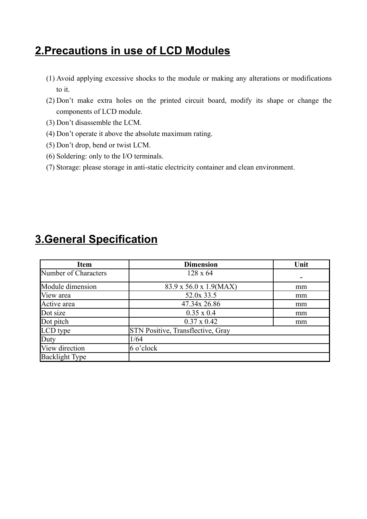#### **2.Precautions in use of LCD Modules**

- (1) Avoid applying excessive shocks to the module or making any alterations or modifications to it.
- (2) Don't make extra holes on the printed circuit board, modify its shape or change the components of LCD module.
- (3) Don't disassemble the LCM.
- (4) Don't operate it above the absolute maximum rating.
- (5) Don't drop, bend or twist LCM.
- (6) Soldering: only to the I/O terminals.
- (7) Storage: please storage in anti-static electricity container and clean environment.

| <b>Item</b>           | <b>Dimension</b>                         | Unit |
|-----------------------|------------------------------------------|------|
| Number of Characters  | $128 \times 64$                          |      |
| Module dimension      | 83.9 x 56.0 x 1.9(MAX)                   | mm   |
| View area             | 52.0x 33.5                               | mm   |
| Active area           | 47.34x 26.86                             | mm   |
| Dot size              | $0.35 \times 0.4$                        | mm   |
| Dot pitch             | $0.37 \times 0.42$                       | mm   |
| LCD type              | <b>STN Positive, Transflective, Gray</b> |      |
| Duty                  | 1/64                                     |      |
| View direction        | $6$ o'clock                              |      |
| <b>Backlight Type</b> |                                          |      |

#### **3.General Specification**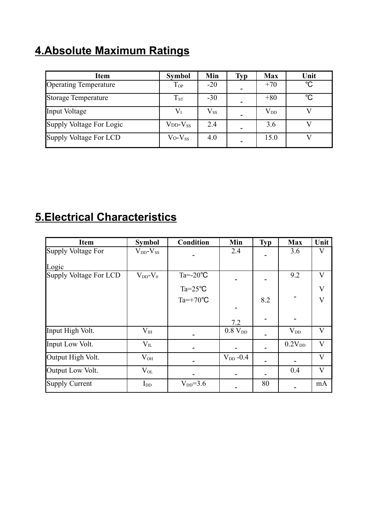### **4.Absolute Maximum Ratings**

| Item                         | <b>Symbol</b>  | Min          | <b>Typ</b> | <b>Max</b>   | Unit        |
|------------------------------|----------------|--------------|------------|--------------|-------------|
| <b>Operating Temperature</b> | $T_{OP}$       | $-20$        |            | $+70$        | $^{\circ}C$ |
| <b>Storage Temperature</b>   | $T_{ST}$       | $-30$        |            | $+80$        | $^{\circ}C$ |
| Input Voltage                | $\rm V_I$      | $\rm V_{SS}$ |            | $\rm V_{DD}$ |             |
| Supply Voltage For Logic     | $VDD-VSS$      | 2.4          |            | 3.6          |             |
| Supply Voltage For LCD       | $V_0 - V_{ss}$ | 4.0          |            | 15.0         |             |

### **5.Electrical Characteristics**

| Item                   | <b>Symbol</b>       | <b>Condition</b>    | Min           | <b>Typ</b> | <b>Max</b>         | Unit                    |
|------------------------|---------------------|---------------------|---------------|------------|--------------------|-------------------------|
| Supply Voltage For     | $V_{DD}$ - $V_{SS}$ |                     | 2.4           |            | 3.6                | V                       |
| Logic                  |                     |                     |               |            |                    |                         |
| Supply Voltage For LCD | $V_{DD}$ - $V_0$    | Ta= $-20^{\circ}$ C |               |            | 9.2                | $\bf V$                 |
|                        |                     | $Ta = 25^{\circ}C$  |               |            |                    | V                       |
|                        |                     | $Ta=+70^{\circ}C$   |               | 8.2        |                    | $\overline{\mathsf{V}}$ |
|                        |                     |                     |               |            |                    |                         |
|                        |                     |                     | 7.2           |            |                    |                         |
| Input High Volt.       | $V_{\rm IH}$        |                     | $0.8 V_{DD}$  |            | $V_{DD}$           | V                       |
| Input Low Volt.        | $V_{IL}$            |                     |               |            | 0.2V <sub>DD</sub> | V                       |
| Output High Volt.      | $V_{OH}$            |                     | $V_{DD}$ -0.4 |            |                    | V                       |
| Output Low Volt.       | $\rm V_{OL}$        |                     |               |            | 0.4                | V                       |
| Supply Current         | $I_{DD}$            | $V_{DD} = 3.6$      |               | 80         |                    | mA                      |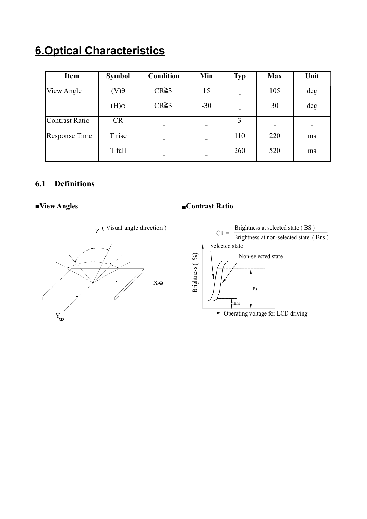## **6.Optical Characteristics**

| <b>Item</b>          | <b>Symbol</b>         | <b>Condition</b> | Min   | <b>Typ</b> | <b>Max</b> | Unit |
|----------------------|-----------------------|------------------|-------|------------|------------|------|
| View Angle           | $(V)\theta$           | $CR \geq 3$      | 15    |            | 105        | deg  |
|                      | $(\mathrm{H})\varphi$ | $CR \ge 3$       | $-30$ |            | 30         | deg  |
| Contrast Ratio       | <b>CR</b>             | -                |       | 3          |            |      |
| <b>Response Time</b> | T rise                |                  |       | 110        | 220        | ms   |
|                      | T fall                |                  |       | 260        | 520        | ms   |

#### **6.1 Definitions**



#### **■View Angles** ■**Contrast Ratio**

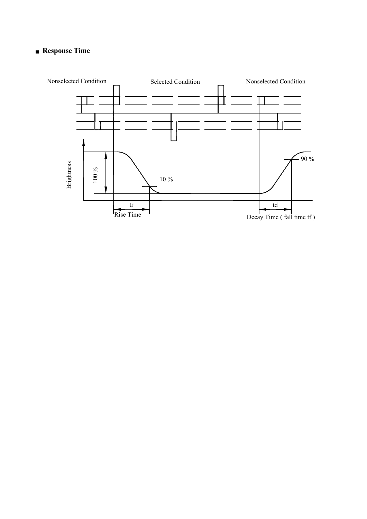#### ■ **Response Time**

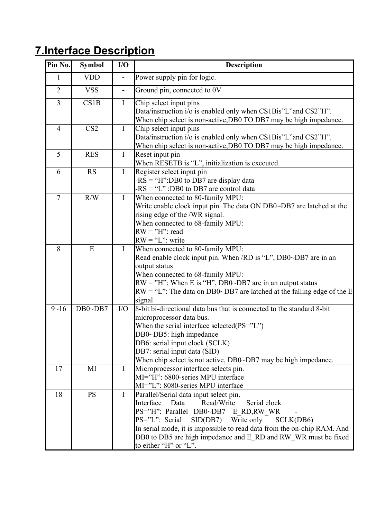# **7.Interface Description**

| Pin No.        | <b>Symbol</b>   | I/O                      | <b>Description</b>                                                                                                                                                                                                                                                                                                                                             |
|----------------|-----------------|--------------------------|----------------------------------------------------------------------------------------------------------------------------------------------------------------------------------------------------------------------------------------------------------------------------------------------------------------------------------------------------------------|
| 1              | <b>VDD</b>      |                          | Power supply pin for logic.                                                                                                                                                                                                                                                                                                                                    |
| $\overline{2}$ | <b>VSS</b>      | $\overline{\phantom{0}}$ | Ground pin, connected to 0V                                                                                                                                                                                                                                                                                                                                    |
| 3              | CS1B            | $\mathbf I$              | Chip select input pins<br>Data/instruction i/o is enabled only when CS1Bis"L"and CS2"H".<br>When chip select is non-active, DB0 TO DB7 may be high impedance.                                                                                                                                                                                                  |
| $\overline{4}$ | CS <sub>2</sub> | $\mathbf I$              | Chip select input pins<br>Data/instruction i/o is enabled only when CS1Bis"L"and CS2"H".<br>When chip select is non-active, DB0 TO DB7 may be high impedance.                                                                                                                                                                                                  |
| 5              | <b>RES</b>      | $\mathbf I$              | Reset input pin<br>When RESETB is "L", initialization is executed.                                                                                                                                                                                                                                                                                             |
| 6              | <b>RS</b>       | $\mathbf I$              | Register select input pin<br>$-RS = "H":DB0$ to DB7 are display data<br>$-RS = "L" : DB0$ to DB7 are control data                                                                                                                                                                                                                                              |
| $\overline{7}$ | R/W             | $\mathbf I$              | When connected to 80-family MPU:<br>Write enable clock input pin. The data ON DB0~DB7 are latched at the<br>rising edge of the /WR signal.<br>When connected to 68-family MPU:<br>$RW = "H":$ read<br>$RW = "L"$ : write                                                                                                                                       |
| 8              | E               | $\bf{I}$                 | When connected to 80-family MPU:<br>Read enable clock input pin. When /RD is "L", DB0~DB7 are in an<br>output status<br>When connected to 68-family MPU:<br>$RW = "H"$ : When E is "H", DB0~DB7 are in an output status<br>$RW = "L"$ : The data on DB0~DB7 are latched at the falling edge of the E<br>signal                                                 |
| $9 - 16$       | $DB0\neg DB7$   | I/O                      | 8-bit bi-directional data bus that is connected to the standard 8-bit<br>microprocessor data bus.<br>When the serial interface selected(PS="L")<br>DB0~DB5: high impedance<br>DB6: serial input clock (SCLK)<br>DB7: serial input data (SID)<br>When chip select is not active, DB0~DB7 may be high impedance.                                                 |
| 17             | MI              | $\mathbf{I}$             | Microprocessor interface selects pin.<br>MI="H": 6800-series MPU interface<br>MI="L": 8080-series MPU interface                                                                                                                                                                                                                                                |
| 18             | <b>PS</b>       | I                        | Parallel/Serial data input select pin.<br>Read/Write<br>Interface<br>Data<br>Serial clock<br>PS="H": Parallel DB0~DB7 E_RD,RW_WR<br>PS="L": Serial<br>$SID(DB7)$ Write only<br>SCLK(DB6)<br>In serial mode, it is impossible to read data from the on-chip RAM. And<br>DB0 to DB5 are high impedance and E_RD and RW_WR must be fixed<br>to either "H" or "L". |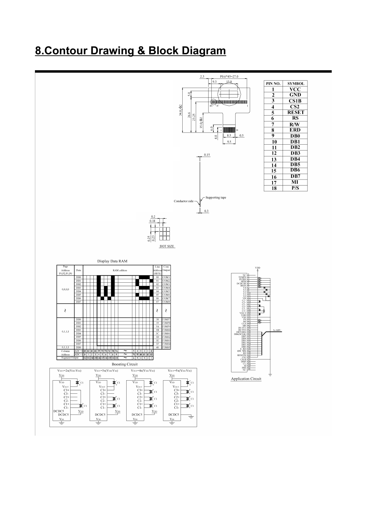#### **8.Contour Drawing & Block Diagram**

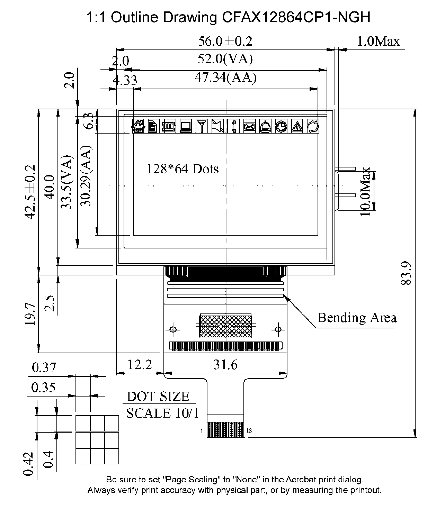1:1 Outline Drawing CFAX12864CP1-NGH



Always verify print accuracy with physical part, or by measuring the printout.